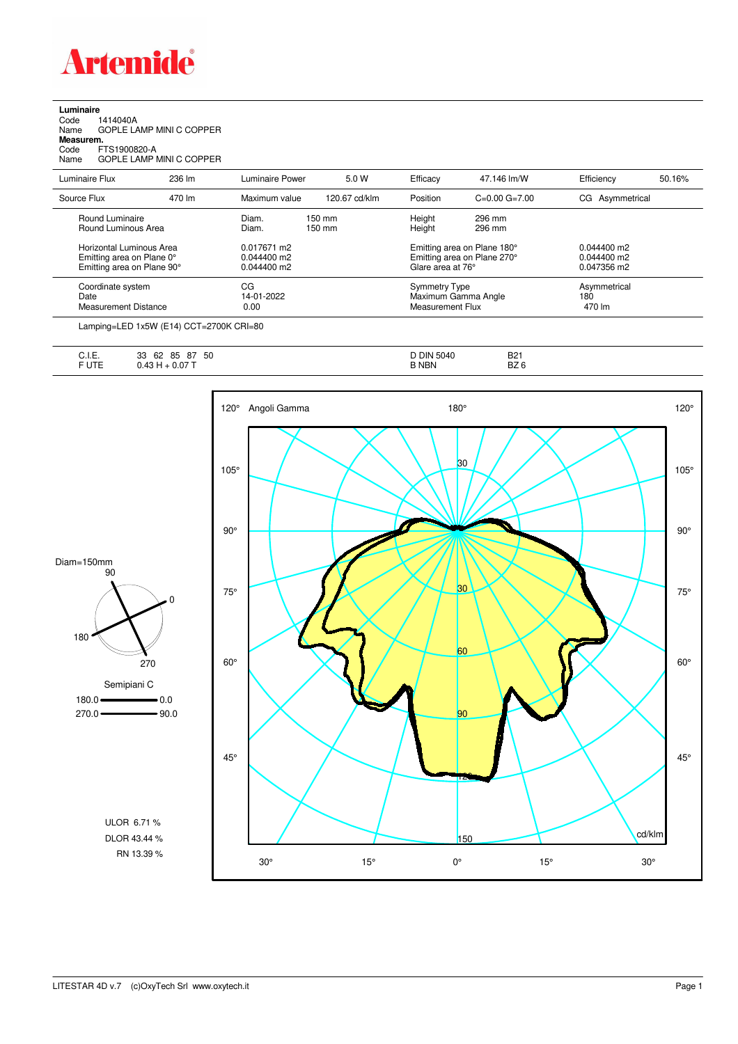

**Luminaire**<br>Code 1<br>Name ( Code 1414040A Name GOPLE LAMP MINI C COPPER **Measurem.** Code FTS1900820-A Name GOPLE LAMP MINI C COPPER

| Luminaire Flux                                                                             | 236 lm | Luminaire Power                               | 5.0 W                                | Efficacy          | 47.146 lm/W                                                     | Efficiency                                    | 50.16% |
|--------------------------------------------------------------------------------------------|--------|-----------------------------------------------|--------------------------------------|-------------------|-----------------------------------------------------------------|-----------------------------------------------|--------|
| Source Flux                                                                                | 470 lm | Maximum value                                 | 120.67 cd/klm                        | Position          | $C=0.00$ $G=7.00$                                               | CG Asymmetrical                               |        |
| Round Luminaire<br>Round Luminous Area                                                     |        | Diam.<br>Diam.                                | $150 \text{ mm}$<br>$150 \text{ mm}$ | Height<br>Height  | 296 mm<br>296 mm                                                |                                               |        |
| <b>Horizontal Luminous Area</b><br>Emitting area on Plane 0°<br>Emitting area on Plane 90° |        | 0.017671 m2<br>$0.044400$ m2<br>$0.044400$ m2 |                                      | Glare area at 76° | Emitting area on Plane 180°<br>Emitting area on Plane 270°      | $0.044400$ m2<br>$0.044400$ m2<br>0.047356 m2 |        |
| Coordinate system<br>Date<br><b>Measurement Distance</b>                                   |        | CG<br>14-01-2022<br>0.00                      |                                      |                   | <b>Symmetry Type</b><br>Maximum Gamma Angle<br>Measurement Flux | Asymmetrical<br>180<br>470 lm                 |        |

Lamping=LED 1x5W (E14) CCT=2700K CRI=80

| $\overline{1}$<br>. .<br>∪. I.⊏. | 50<br>85<br>62<br>33<br>87 | DIN<br>5040<br>ັ | D <sub>0</sub><br>DZ I |
|----------------------------------|----------------------------|------------------|------------------------|
| <b>JTE</b>                       | 24<br>, ט                  | <b>NBN</b>       | D70<br>DZ 0            |